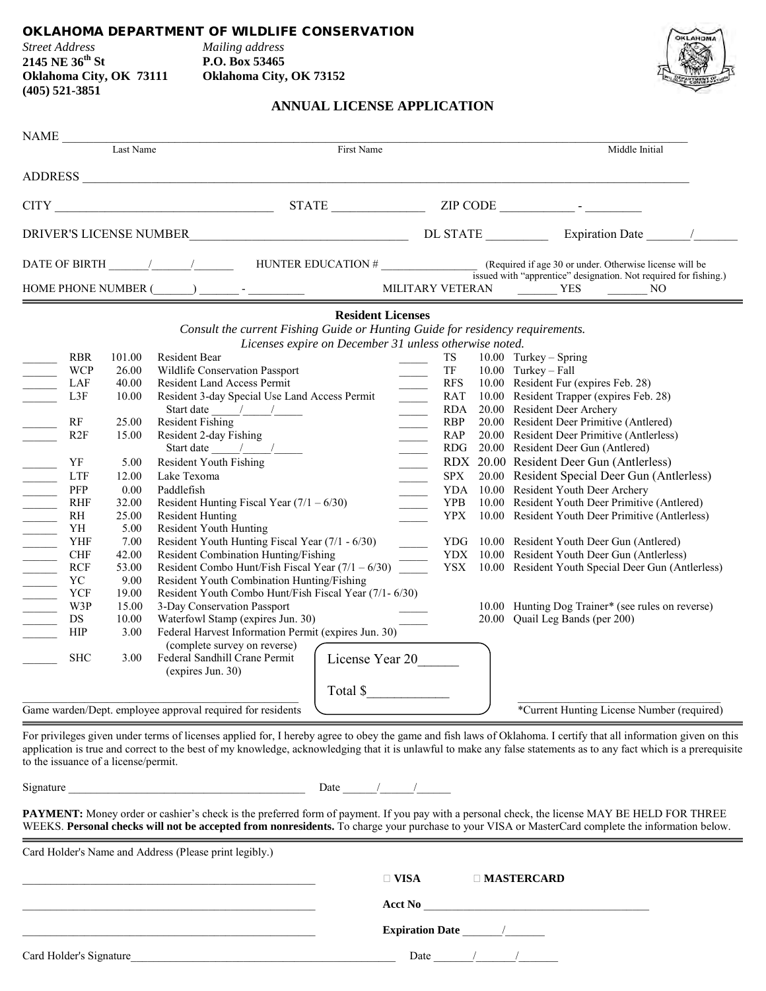## OKLAHOMA DEPARTMENT OF WILDLIFE CONSERVATION

| <b>Street Address</b>   |  |
|-------------------------|--|
| 2145 NE 36th St         |  |
| Oklahoma City, OK 7311. |  |
| $(405)$ 521-3851        |  |

*Street Address Mailing address* **2145 NE 36th St P.O. Box 53465 Oklahoma City, OK 73152** 



## **ANNUAL LICENSE APPLICATION**

|                            |            | Last Name | First Name                                                                                                                               |                                  |            |  | Middle Initial                                         |
|----------------------------|------------|-----------|------------------------------------------------------------------------------------------------------------------------------------------|----------------------------------|------------|--|--------------------------------------------------------|
|                            |            |           | ADDRESS                                                                                                                                  |                                  |            |  |                                                        |
|                            |            |           | $CITY$ $ZIP$ $CODE$                                                                                                                      |                                  |            |  |                                                        |
|                            |            |           |                                                                                                                                          |                                  |            |  |                                                        |
|                            |            |           |                                                                                                                                          |                                  |            |  |                                                        |
|                            |            |           |                                                                                                                                          |                                  |            |  |                                                        |
|                            |            |           | <b>Resident Licenses</b>                                                                                                                 |                                  |            |  |                                                        |
|                            |            |           | Consult the current Fishing Guide or Hunting Guide for residency requirements.<br>Licenses expire on December 31 unless otherwise noted. |                                  |            |  |                                                        |
|                            | <b>RBR</b> | 101.00    | Resident Bear                                                                                                                            |                                  | TS         |  | $10.00$ Turkey – Spring                                |
|                            | <b>WCP</b> | 26.00     | Wildlife Conservation Passport                                                                                                           |                                  | TF         |  | 10.00 Turkey - Fall                                    |
|                            | LAF        | 40.00     | <b>Resident Land Access Permit</b>                                                                                                       |                                  | <b>RFS</b> |  | 10.00 Resident Fur (expires Feb. 28)                   |
|                            | L3F        | 10.00     | Resident 3-day Special Use Land Access Permit                                                                                            | $\frac{1}{\sqrt{1-\frac{1}{2}}}$ | RAT        |  | 10.00 Resident Trapper (expires Feb. 28)               |
|                            |            |           | Start date $\frac{1}{\sqrt{2\pi}}$                                                                                                       |                                  | RDA        |  | 20.00 Resident Deer Archery                            |
|                            | RF         | 25.00     | <b>Resident Fishing</b>                                                                                                                  |                                  | <b>RBP</b> |  | 20.00 Resident Deer Primitive (Antlered)               |
|                            | R2F        | 15.00     | Resident 2-day Fishing                                                                                                                   |                                  | RAP        |  | 20.00 Resident Deer Primitive (Antlerless)             |
|                            |            |           | Start date $\frac{1}{\sqrt{1-\frac{1}{2}}}$                                                                                              |                                  | RDG        |  | 20.00 Resident Deer Gun (Antlered)                     |
|                            | YF         | 5.00      | Resident Youth Fishing                                                                                                                   |                                  |            |  | RDX 20.00 Resident Deer Gun (Antlerless)               |
| $\mathcal{L}^{\text{max}}$ | <b>LTF</b> | 12.00     | Lake Texoma                                                                                                                              |                                  | SPX        |  | 20.00 Resident Special Deer Gun (Antlerless)           |
|                            | PFP        | 0.00      | Paddlefish                                                                                                                               | $\overline{\phantom{a}}$         |            |  | YDA 10.00 Resident Youth Deer Archery                  |
|                            | <b>RHF</b> | 32.00     | Resident Hunting Fiscal Year $(7/1 - 6/30)$                                                                                              |                                  | <b>YPB</b> |  | 10.00 Resident Youth Deer Primitive (Antlered)         |
|                            | RH         | 25.00     | <b>Resident Hunting</b>                                                                                                                  |                                  |            |  | YPX 10.00 Resident Youth Deer Primitive (Antlerless)   |
|                            | YH         | 5.00      | Resident Youth Hunting                                                                                                                   |                                  |            |  |                                                        |
|                            | YHF        | 7.00      | Resident Youth Hunting Fiscal Year (7/1 - 6/30)                                                                                          |                                  |            |  | YDG 10.00 Resident Youth Deer Gun (Antlered)           |
|                            | <b>CHF</b> | 42.00     | Resident Combination Hunting/Fishing                                                                                                     |                                  |            |  | YDX 10.00 Resident Youth Deer Gun (Antlerless)         |
|                            | <b>RCF</b> | 53.00     | Resident Combo Hunt/Fish Fiscal Year $(7/1 - 6/30)$                                                                                      |                                  |            |  | YSX 10.00 Resident Youth Special Deer Gun (Antlerless) |
|                            | YC         | 9.00      | Resident Youth Combination Hunting/Fishing                                                                                               |                                  |            |  |                                                        |
|                            | YCF        | 19.00     | Resident Youth Combo Hunt/Fish Fiscal Year (7/1-6/30)                                                                                    |                                  |            |  |                                                        |
|                            | W3P        | 15.00     | 3-Day Conservation Passport                                                                                                              |                                  |            |  | 10.00 Hunting Dog Trainer* (see rules on reverse)      |
|                            | <b>DS</b>  | 10.00     | Waterfowl Stamp (expires Jun. 30)                                                                                                        |                                  |            |  | 20.00 Quail Leg Bands (per 200)                        |
|                            | <b>HIP</b> | 3.00      | Federal Harvest Information Permit (expires Jun. 30)                                                                                     |                                  |            |  |                                                        |
|                            |            |           | (complete survey on reverse)                                                                                                             |                                  |            |  |                                                        |
|                            | <b>SHC</b> | 3.00      | License Year 20<br>Federal Sandhill Crane Permit<br>(expires Jun. 30)                                                                    |                                  |            |  |                                                        |
|                            |            |           | Total \$                                                                                                                                 |                                  |            |  |                                                        |
|                            |            |           | Game warden/Dept. employee approval required for residents                                                                               |                                  |            |  | *Current Hunting License Number (required)             |
|                            |            |           |                                                                                                                                          |                                  |            |  |                                                        |

to the issuance of a license/permit.

Signature  $\Box$ 

PAYMENT: Money order or cashier's check is the preferred form of payment. If you pay with a personal check, the license MAY BE HELD FOR THREE WEEKS. **Personal checks will not be accepted from nonresidents.** To charge your purchase to your VISA or MasterCard complete the information below.

Card Holder's Name and Address (Please print legibly.) \_\_\_\_\_\_\_\_\_\_\_\_\_\_\_\_\_\_\_\_\_\_\_\_\_\_\_\_\_\_\_\_\_\_\_\_\_\_\_\_\_\_\_\_\_\_\_\_\_\_\_\_ **VISA MASTERCARD** \_\_\_\_\_\_\_\_\_\_\_\_\_\_\_\_\_\_\_\_\_\_\_\_\_\_\_\_\_\_\_\_\_\_\_\_\_\_\_\_\_\_\_\_\_\_\_\_\_\_\_\_ **Acct No** \_\_\_\_\_\_\_\_\_\_\_\_\_\_\_\_\_\_\_\_\_\_\_\_\_\_\_\_\_\_\_\_\_\_\_\_\_\_\_\_ \_\_\_\_\_\_\_\_\_\_\_\_\_\_\_\_\_\_\_\_\_\_\_\_\_\_\_\_\_\_\_\_\_\_\_\_\_\_\_\_\_\_\_\_\_\_\_\_\_\_\_\_ **Expiration Date** \_\_\_\_\_\_\_/\_\_\_\_\_\_\_ Card Holder's Signature\_\_\_\_\_\_\_\_\_\_\_\_\_\_\_\_\_\_\_\_\_\_\_\_\_\_\_\_\_\_\_\_\_\_\_\_\_\_\_\_\_\_\_\_\_\_\_ Date \_\_\_\_\_\_\_/\_\_\_\_\_\_\_/\_\_\_\_\_\_\_